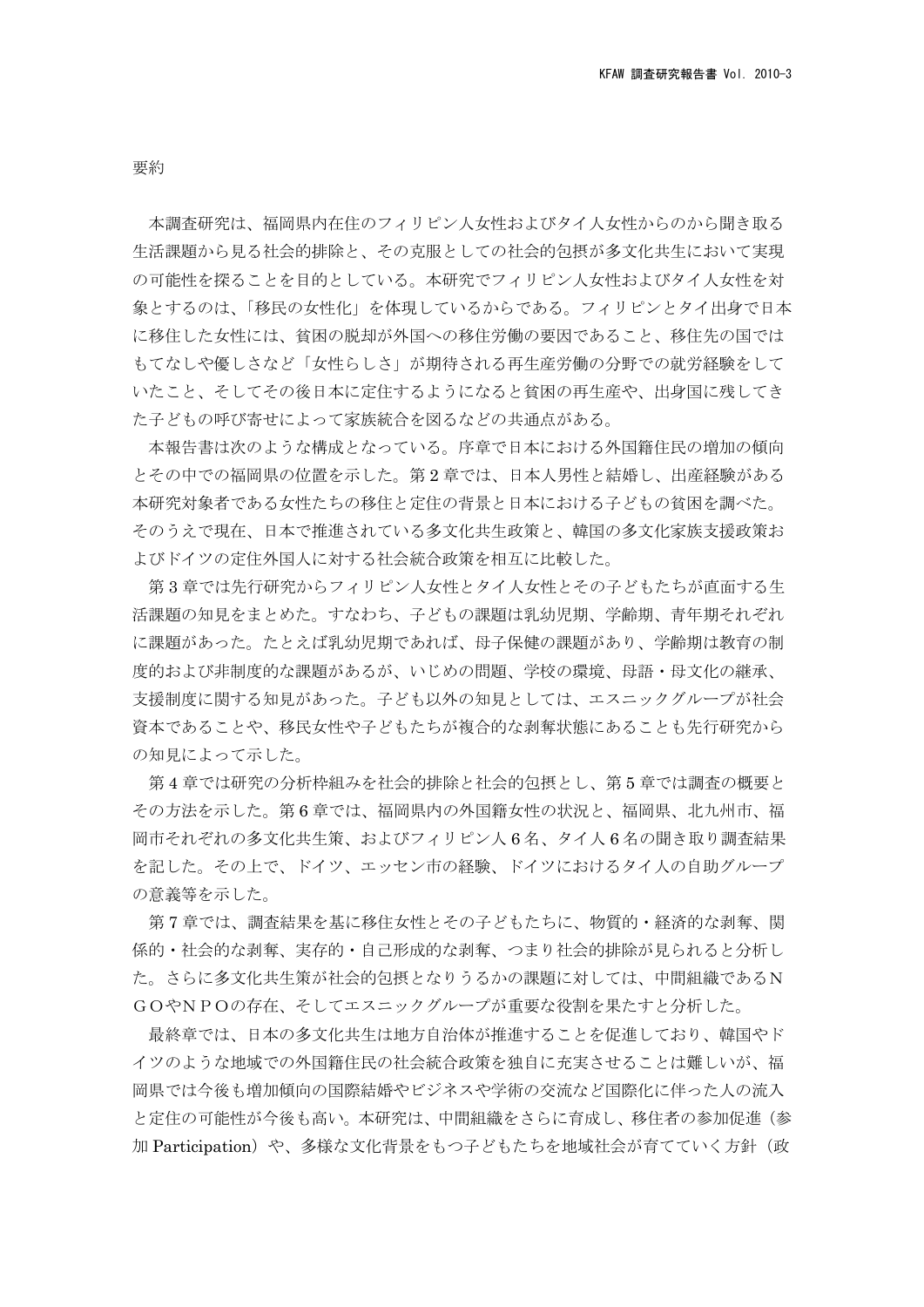要約

本調査研究は、福岡県内在住のフィリピン人女性およびタイ人女性からのから聞き取る 生活課題から見る社会的排除と、その克服としての社会的包摂が多文化共生において実現 の可能性を探ることを目的としている。本研究でフィリピン人女性およびタイ人女性を対 象とするのは、「移民の女性化」を体現しているからである。フィリピンとタイ出身で日本 に移住した女性には、貧困の脱却が外国への移住労働の要因であること、移住先の国では もてなしや優しさなど「女性らしさ」が期待される再生産労働の分野での就労経験をして いたこと、そしてその後日本に定住するようになると貧困の再生産や、出身国に残してき た子どもの呼び寄せによって家族統合を図るなどの共通点がある。

 本報告書は次のような構成となっている。序章で日本における外国籍住民の増加の傾向 とその中での福岡県の位置を示した。第 2 章では、日本人男性と結婚し、出産経験がある 本研究対象者である女性たちの移住と定住の背景と日本における子どもの貧困を調べた。 そのうえで現在、日本で推進されている多文化共生政策と、韓国の多文化家族支援政策お よびドイツの定住外国人に対する社会統合政策を相互に比較した。

 第 3 章では先行研究からフィリピン人女性とタイ人女性とその子どもたちが直面する生 活課題の知見をまとめた。すなわち、子どもの課題は乳幼児期、学齢期、青年期それぞれ に課題があった。たとえば乳幼児期であれば、母子保健の課題があり、学齢期は教育の制 度的および非制度的な課題があるが、いじめの問題、学校の環境、母語・母文化の継承、 支援制度に関する知見があった。子ども以外の知見としては、エスニックグループが社会 資本であることや、移民女性や子どもたちが複合的な剥奪状態にあることも先行研究から の知見によって示した。

第 4 章では研究の分析枠組みを社会的排除と社会的包摂とし、第 5 章では調査の概要と その方法を示した。第 6 章では、福岡県内の外国籍女性の状況と、福岡県、北九州市、福 岡市それぞれの多文化共生策、およびフィリピン人 6 名、タイ人 6 名の聞き取り調査結果 を記した。その上で、ドイツ、エッセン市の経験、ドイツにおけるタイ人の自助グループ の意義等を示した。

第 7 章では、調査結果を基に移住女性とその子どもたちに、物質的・経済的な剥奪、関 係的・社会的な剥奪、実存的・自己形成的な剥奪、つまり社会的排除が見られると分析し た。さらに多文化共生策が社会的包摂となりうるかの課題に対しては、中間組織であるN GOやNPOの存在、そしてエスニックグループが重要な役割を果たすと分析した。

最終章では、日本の多文化共生は地方自治体が推進することを促進しており、韓国やド イツのような地域での外国籍住民の社会統合政策を独自に充実させることは難しいが、福 岡県では今後も増加傾向の国際結婚やビジネスや学術の交流など国際化に伴った人の流入 と定住の可能性が今後も高い。本研究は、中間組織をさらに育成し、移住者の参加促進(参 加 Participation)や、多様な文化背景をもつ子どもたちを地域社会が育てていく方針(政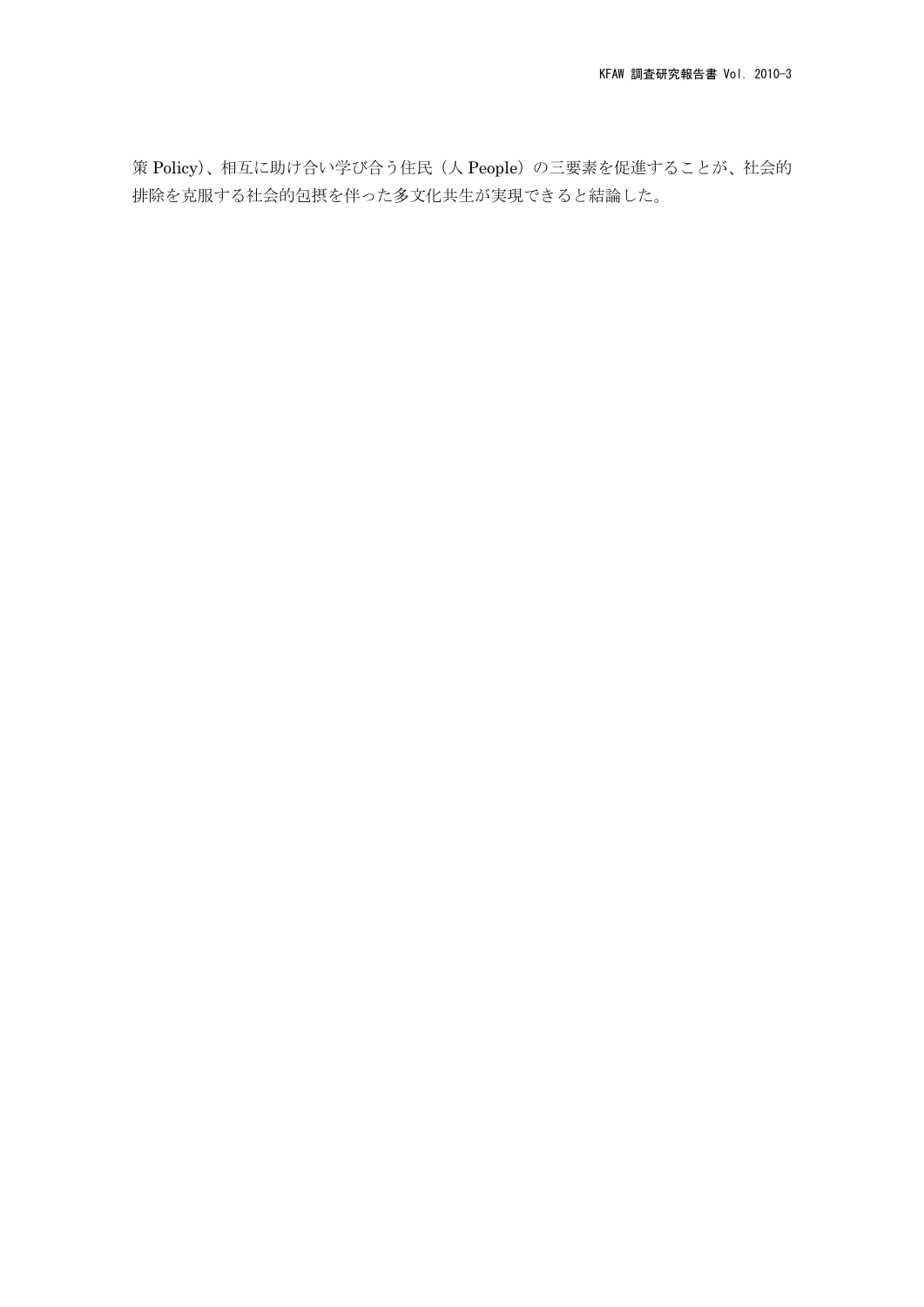策 Policy)、相互に助け合い学び合う住民(人 People)の三要素を促進することが、社会的 排除を克服する社会的包摂を伴った多文化共生が実現できると結論した。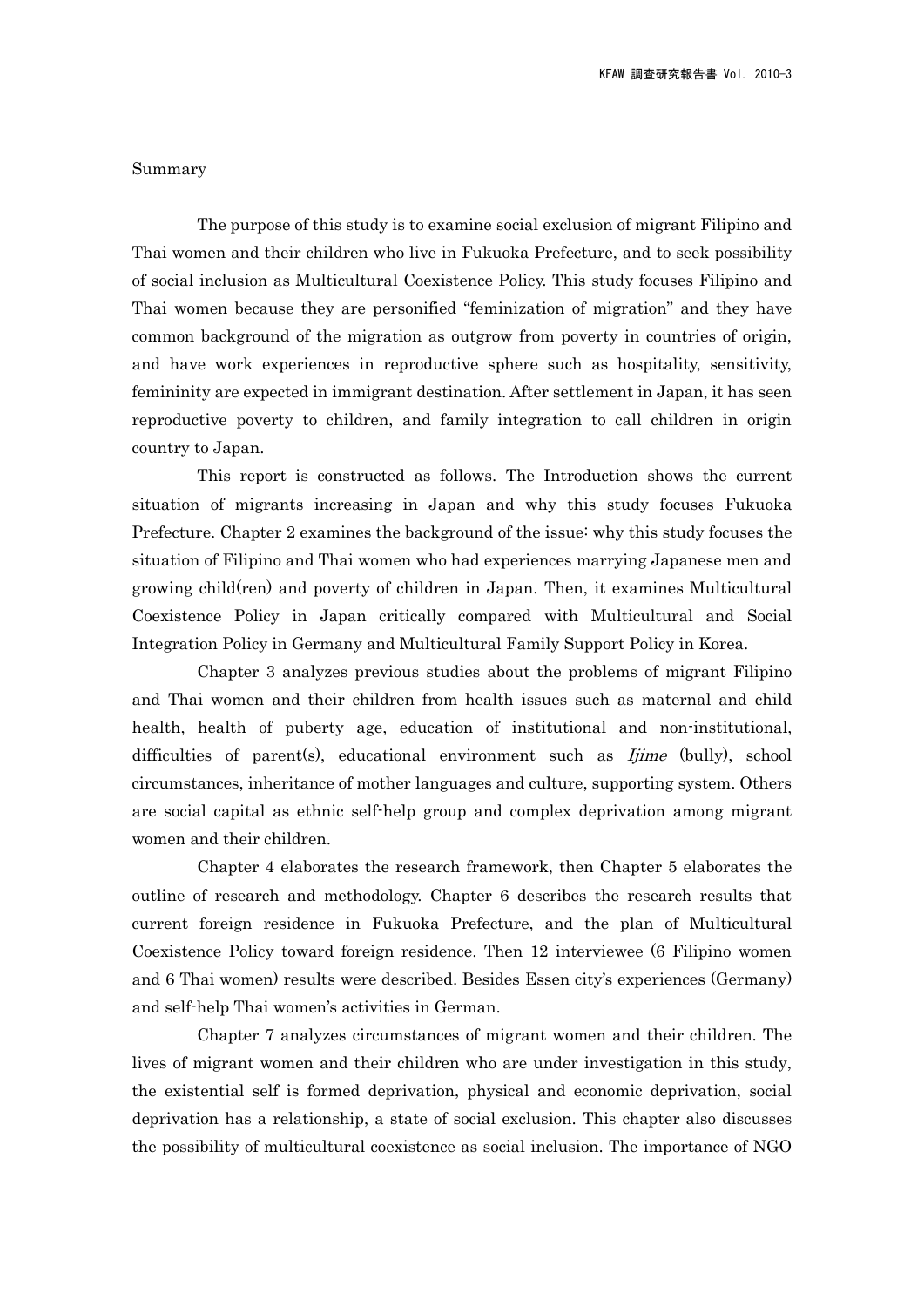## Summary

The purpose of this study is to examine social exclusion of migrant Filipino and Thai women and their children who live in Fukuoka Prefecture, and to seek possibility of social inclusion as Multicultural Coexistence Policy. This study focuses Filipino and Thai women because they are personified "feminization of migration" and they have common background of the migration as outgrow from poverty in countries of origin, and have work experiences in reproductive sphere such as hospitality, sensitivity, femininity are expected in immigrant destination. After settlement in Japan, it has seen reproductive poverty to children, and family integration to call children in origin country to Japan.

This report is constructed as follows. The Introduction shows the current situation of migrants increasing in Japan and why this study focuses Fukuoka Prefecture. Chapter 2 examines the background of the issue: why this study focuses the situation of Filipino and Thai women who had experiences marrying Japanese men and growing child(ren) and poverty of children in Japan. Then, it examines Multicultural Coexistence Policy in Japan critically compared with Multicultural and Social Integration Policy in Germany and Multicultural Family Support Policy in Korea.

Chapter 3 analyzes previous studies about the problems of migrant Filipino and Thai women and their children from health issues such as maternal and child health, health of puberty age, education of institutional and non-institutional, difficulties of parent(s), educational environment such as  $Ijime$  (bully), school circumstances, inheritance of mother languages and culture, supporting system. Others are social capital as ethnic self-help group and complex deprivation among migrant women and their children.

Chapter 4 elaborates the research framework, then Chapter 5 elaborates the outline of research and methodology. Chapter 6 describes the research results that current foreign residence in Fukuoka Prefecture, and the plan of Multicultural Coexistence Policy toward foreign residence. Then 12 interviewee (6 Filipino women and 6 Thai women) results were described. Besides Essen city's experiences (Germany) and self-help Thai women's activities in German.

Chapter 7 analyzes circumstances of migrant women and their children. The lives of migrant women and their children who are under investigation in this study, the existential self is formed deprivation, physical and economic deprivation, social deprivation has a relationship, a state of social exclusion. This chapter also discusses the possibility of multicultural coexistence as social inclusion. The importance of NGO